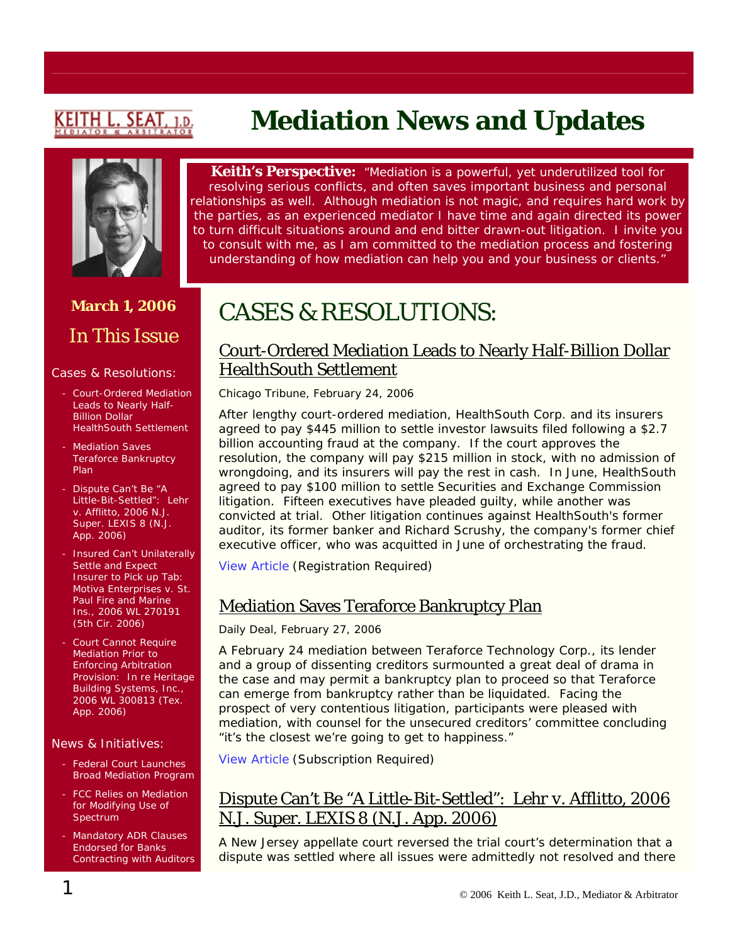# <u>KEITH L. SEAT</u>

# **Mediation News and Updates**



# **March 1, 2006**  In This Issue

#### Cases & Resolutions:

- Court-Ordered Mediation Leads to Nearly Half-**Billion Dollar** HealthSouth Settlement
- **Mediation Saves** Teraforce Bankruptcy Plan
- Dispute Can't Be "A Little-Bit-Settled": *Lehr v. Afflitto*, 2006 N.J. Super. LEXIS 8 (N.J. App. 2006)
- Insured Can't Unilaterally Settle and Expect Insurer to Pick up Tab: *Motiva Enterprises v. St. Paul Fire and Marine Ins.*, 2006 WL 270191 (5th Cir. 2006)
- Court Cannot Require Mediation Prior to Enforcing Arbitration Provision: *[In re Heritage](https://web2.westlaw.com/find/default.wl?mt=Westlaw&fn=_top&sv=Split&cite=2006+WL+300813&rp=/find/default.wl&vr=2.0&rs=WLW6.02)  [Building Systems, Inc.](https://web2.westlaw.com/find/default.wl?mt=Westlaw&fn=_top&sv=Split&cite=2006+WL+300813&rp=/find/default.wl&vr=2.0&rs=WLW6.02)*, 2006 WL 300813 (Tex. App. 2006)

#### News & Initiatives:

- Federal Court Launches Broad Mediation Program
- FCC Relies on Mediation for Modifying Use of Spectrum
- Mandatory ADR Clauses Endorsed for Banks Contracting with Auditors

**Keith's Perspective:** *"Mediation is a powerful, yet underutilized tool for resolving serious conflicts, and often saves important business and personal relationships as well. Although mediation is not magic, and requires hard work by the parties, as an experienced mediator I have time and again directed its power to turn difficult situations around and end bitter drawn-out litigation. I invite you to consult with me, as I am committed to the mediation process and fostering understanding of how mediation can help you and your business or clients."*

# CASES & RESOLUTIONS:

### Court-Ordered Mediation Leads to Nearly Half-Billion Dollar HealthSouth Settlement

*Chicago Tribune,* February 24, 2006

After lengthy court-ordered mediation, HealthSouth Corp. and its insurers agreed to pay \$445 million to settle investor lawsuits filed following a \$2.7 billion accounting fraud at the company. If the court approves the resolution, the company will pay \$215 million in stock, with no admission of wrongdoing, and its insurers will pay the rest in cash. In June, HealthSouth agreed to pay \$100 million to settle Securities and Exchange Commission litigation. Fifteen executives have pleaded guilty, while another was convicted at trial. Other litigation continues against HealthSouth's former auditor, its former banker and Richard Scrushy, the company's former chief executive officer, who was acquitted in June of orchestrating the fraud.

[View Article](http://www.chicagotribune.com/business/chi-0602240213feb24,1,3414434.story?track=rss&ctrack=1&cset=true) (Registration Required)

# Mediation Saves Teraforce Bankruptcy Plan

#### *Daily Deal*, February 27, 2006

A February 24 mediation between Teraforce Technology Corp., its lender and a group of dissenting creditors surmounted a great deal of drama in the case and may permit a bankruptcy plan to proceed so that Teraforce can emerge from bankruptcy rather than be liquidated. Facing the prospect of very contentious litigation, participants were pleased with mediation, with counsel for the unsecured creditors' committee concluding "it's the closest we're going to get to happiness."

[View Article](http://web2.westlaw.com/search/default.wl?bhcp=1&db=ALLNEWS&dups=False&effdate=1%2F1%2F0001+12%3A00%3A00+AM&fn=%5Ftop&frequencyindx1=1%2DATLEAST5%28MEDIATION%29&method=TNC&mok=++OK++&mquerylist=ATLEAST5%28MEDIATION%29+%26+DA+%28AFT+02%2F18%2F2006+) (Subscription Required)

# Dispute Can't Be "A Little-Bit-Settled": *Lehr v. Afflitto*, 2006 N.J. Super. LEXIS 8 (N.J. App. 2006)

A New Jersey appellate court reversed the trial court's determination that a dispute was settled where all issues were admittedly not resolved and there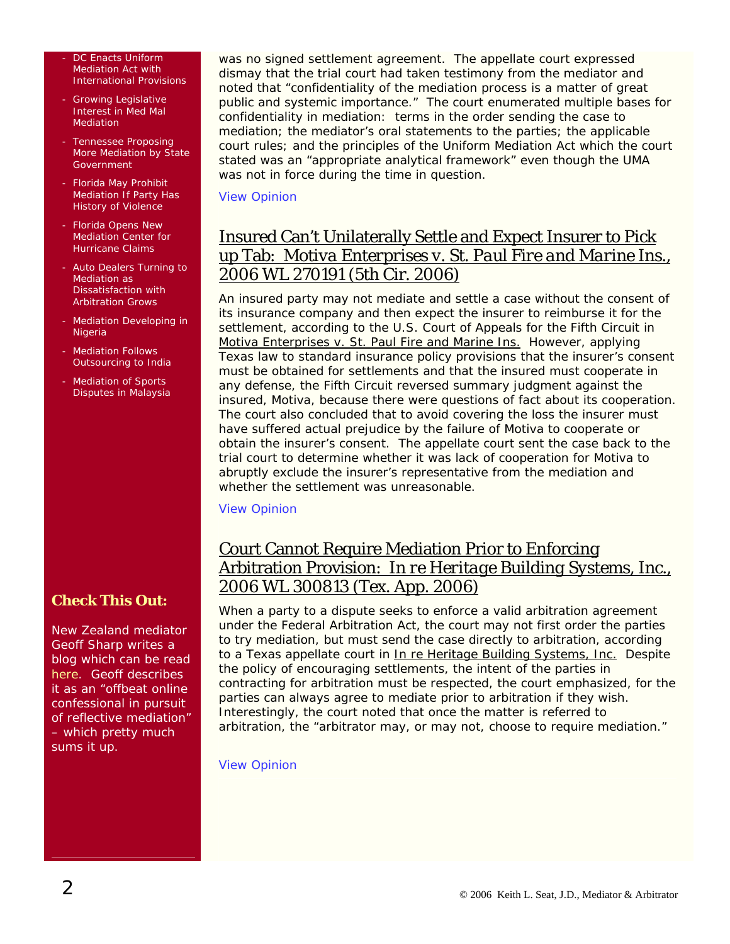DC Enacts Uniform Mediation Act with International Provisions

- Growing Legislative Interest in Med Mal Mediation
- Tennessee Proposing More Mediation by State **Government**
- Florida May Prohibit Mediation If Party Has History of Violence
- Florida Opens New Mediation Center for Hurricane Claims
- Auto Dealers Turning to Mediation as Dissatisfaction with Arbitration Grows
- Mediation Developing in Nigeria
- **Mediation Follows** Outsourcing to India
- Mediation of Sports Disputes in Malaysia

**Check This Out:** 

New Zealand mediator Geoff Sharp writes a blog which can be read [here.](http://mediatorblahblah.blogspot.com/) Geoff describes it as an "offbeat online confessional in pursuit of reflective mediation" – which pretty much sums it up.

was no signed settlement agreement. The appellate court expressed dismay that the trial court had taken testimony from the mediator and noted that "confidentiality of the mediation process is a matter of great public and systemic importance." The court enumerated multiple bases for confidentiality in mediation: terms in the order sending the case to mediation; the mediator's oral statements to the parties; the applicable court rules; and the principles of the Uniform Mediation Act which the court stated was an "appropriate analytical framework" even though the UMA was not in force during the time in question.

#### [View Opinion](http://www.judiciary.state.nj.us/opinions/a6992-03.pdf)

## Insured Can't Unilaterally Settle and Expect Insurer to Pick up Tab: *Motiva Enterprises v. St. Paul Fire and Marine Ins.*, 2006 WL 270191 (5th Cir. 2006)

An insured party may not mediate and settle a case without the consent of its insurance company and then expect the insurer to reimburse it for the settlement, according to the U.S. Court of Appeals for the Fifth Circuit in Motiva Enterprises v. St. Paul Fire and Marine Ins. However, applying Texas law to standard insurance policy provisions that the insurer's consent must be obtained for settlements and that the insured must cooperate in any defense, the Fifth Circuit reversed summary judgment against the insured, Motiva, because there were questions of fact about its cooperation. The court also concluded that to avoid covering the loss the insurer must have suffered actual prejudice by the failure of Motiva to cooperate or obtain the insurer's consent. The appellate court sent the case back to the trial court to determine whether it was lack of cooperation for Motiva to abruptly exclude the insurer's representative from the mediation and whether the settlement was unreasonable.

#### [View Opinion](http://caselaw.lp.findlaw.com/data2/circs/5th/0520139cv0p.pdf)

## Court Cannot Require Mediation Prior to Enforcing Arbitration Provision: *[In re Heritage Building Systems, Inc.](https://web2.westlaw.com/find/default.wl?mt=Westlaw&fn=_top&sv=Split&cite=2006+WL+300813&rp=/find/default.wl&vr=2.0&rs=WLW6.02)*, 2006 WL 300813 (Tex. App. 2006)

When a party to a dispute seeks to enforce a valid arbitration agreement under the Federal Arbitration Act, the court may not first order the parties to try mediation, but must send the case directly to arbitration, according to a Texas appellate court in In re Heritage Building Systems, Inc. Despite the policy of encouraging settlements, the intent of the parties in contracting for arbitration must be respected, the court emphasized, for the parties can always agree to mediate prior to arbitration if they wish. Interestingly, the court noted that once the matter is referred to arbitration, the "arbitrator may, or may not, choose to require mediation."

#### [View Opinion](http://www.9thcoa.courts.state.tx.us/opinions/HTMLopinion.asp?OpinionID=8251)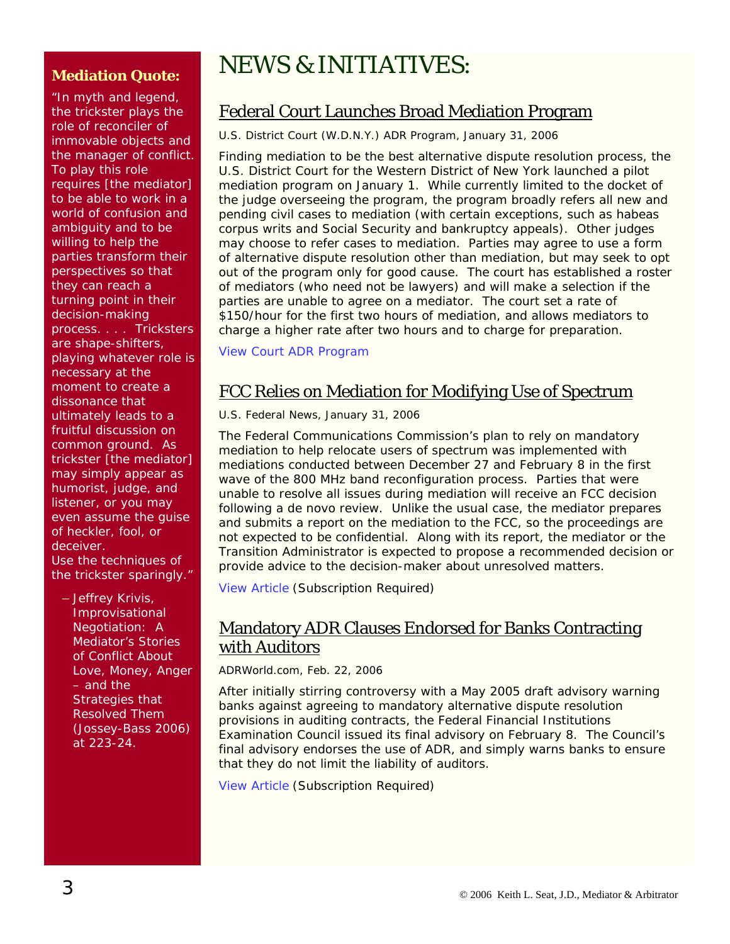#### **Mediation Quote:**

"In myth and legend, the trickster plays the role of reconciler of immovable objects and the manager of conflict. To play this role requires [the mediator] to be able to work in a world of confusion and ambiguity and to be willing to help the parties transform their perspectives so that they can reach a turning point in their decision-making process. . . . Tricksters are shape-shifters, playing whatever role is necessary at the moment to create a dissonance that ultimately leads to a fruitful discussion on common ground. As trickster [the mediator] may simply appear as humorist, judge, and listener, or you may even assume the guise of heckler, fool, or deceiver. Use the techniques of the trickster sparingly."

– Jeffrey Krivis, *Improvisational Negotiation: A Mediator's Stories of Conflict About Love, Money, Anger – and the Strategies that Resolved Them*  (Jossey-Bass 2006) at 223-24.

# NEWS & INITIATIVES:

# Federal Court Launches Broad Mediation Program

*U.S. District Court (W.D.N.Y.) ADR Program,* January 31, 2006

Finding mediation to be the best alternative dispute resolution process, the U.S. District Court for the Western District of New York launched a pilot mediation program on January 1. While currently limited to the docket of the judge overseeing the program, the program broadly refers all new and pending civil cases to mediation (with certain exceptions, such as habeas corpus writs and Social Security and bankruptcy appeals). Other judges may choose to refer cases to mediation. Parties may agree to use a form of alternative dispute resolution other than mediation, but may seek to opt out of the program only for good cause. The court has established a roster of mediators (who need not be lawyers) and will make a selection if the parties are unable to agree on a mediator. The court set a rate of \$150/hour for the first two hours of mediation, and allows mediators to charge a higher rate after two hours and to charge for preparation.

[View Court ADR Program](http://www.nywd.uscourts.gov/adr/index.php)

# FCC Relies on Mediation for Modifying Use of Spectrum

*U.S. Federal News*, January 31, 2006

The Federal Communications Commission's plan to rely on mandatory mediation to help relocate users of spectrum was implemented with mediations conducted between December 27 and February 8 in the first wave of the 800 MHz band reconfiguration process. Parties that were unable to resolve all issues during mediation will receive an FCC decision following a de novo review. Unlike the usual case, the mediator prepares and submits a report on the mediation to the FCC, so the proceedings are not expected to be confidential. Along with its report, the mediator or the Transition Administrator is expected to propose a recommended decision or provide advice to the decision-maker about unresolved matters.

[View Article](http://web2.westlaw.com/find/default.wl?mt=LawSchoolPractitioner&fn=_top&sv=Split&cite=2006+WLNR+1746341&rp=%2ffind%2fdefault.wl&vr=2.0&rs=WLW6.01) (Subscription Required)

## Mandatory ADR Clauses Endorsed for Banks Contracting with Auditors

*ADRWorld.com*, Feb. 22, 2006

After initially stirring controversy with a May 2005 draft advisory warning banks against agreeing to mandatory alternative dispute resolution provisions in auditing contracts, the Federal Financial Institutions Examination Council issued its final advisory on February 8. The Council's final advisory endorses the use of ADR, and simply warns banks to ensure that they do not limit the liability of auditors.

[View Article](http://www.adrworld.com/sp.asp) (Subscription Required)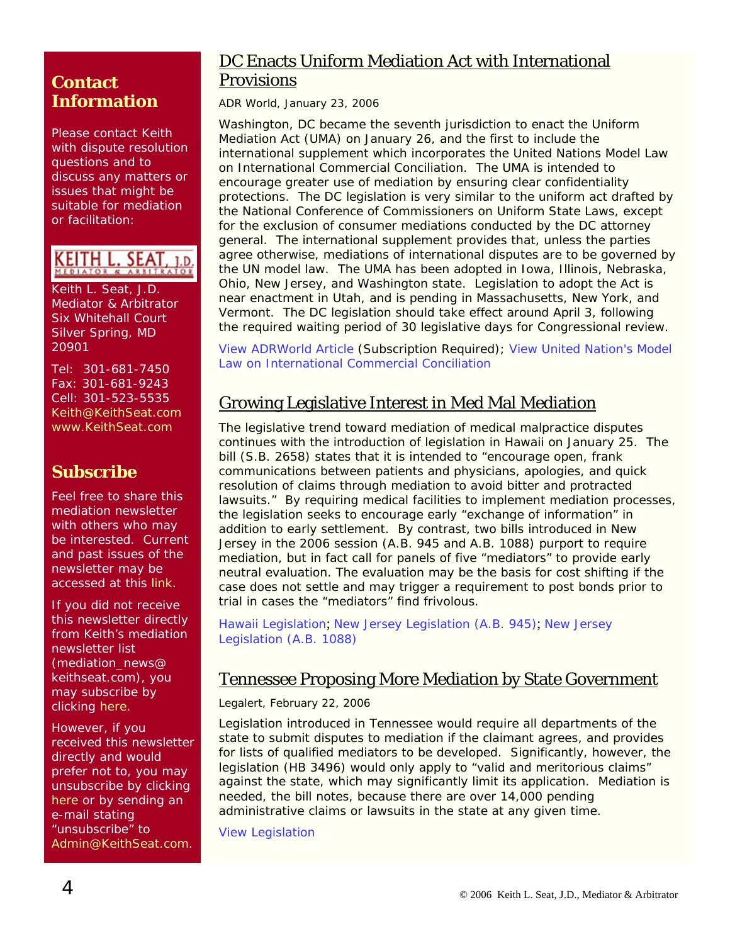## **Contact Information**

Please contact Keith with dispute resolution questions and to discuss any matters or issues that might be suitable for mediation or facilitation:

#### **KEITH L. SEAT**  $1.D$

Keith L. Seat, J.D. Mediator & Arbitrator Six Whitehall Court Silver Spring, MD 20901

Tel: 301-681-7450 Fax: 301-681-9243 Cell: 301-523-5535 [Keith@KeithSeat.com](mailto:Keith@KeithSeat.com) [www.KeithSeat.com](http://www.keithseat.com/)

# **Subscribe**

Feel free to share this mediation newsletter with others who may be interested. Current and past issues of the newsletter may be accessed at this [link.](http://www.keithseat.com/publications.htm)

If you did not receive this newsletter directly from Keith's mediation newsletter list (mediation\_news@ keithseat.com), you may subscribe by clicking [here](mailto:mediation_news-subscribe@keithseat.com).

However, if you received this newsletter directly and would prefer not to, you may unsubscribe by clicking [here](mailto:mediation_news-unsubscribe@keithseat.com) or by sending an e-mail stating unsubscribe" to [Admin@KeithSeat.com](mailto:Admin@KeithSeat.com).

## DC Enacts Uniform Mediation Act with International **Provisions**

*ADR World*, January 23, 2006

Washington, DC became the seventh jurisdiction to enact the Uniform Mediation Act (UMA) on January 26, and the first to include the international supplement which incorporates the United Nations Model Law on International Commercial Conciliation. The UMA is intended to encourage greater use of mediation by ensuring clear confidentiality protections. The DC legislation is very similar to the uniform act drafted by the National Conference of Commissioners on Uniform State Laws, except for the exclusion of consumer mediations conducted by the DC attorney general. The international supplement provides that, unless the parties agree otherwise, mediations of international disputes are to be governed by the UN model law. The UMA has been adopted in Iowa, Illinois, Nebraska, Ohio, New Jersey, and Washington state. Legislation to adopt the Act is near enactment in Utah, and is pending in Massachusetts, New York, and Vermont. The DC legislation should take effect around April 3, following the required waiting period of 30 legislative days for Congressional review.

[View ADRWorld Article](http://www.adrworld.com/sp.asp) (Subscription Required); [View United Nation's Model](http://www.sccinstitute.com/_upload/shared_files/lagar/ml-conc-e.pdf)  [Law on International Commercial Conciliation](http://www.sccinstitute.com/_upload/shared_files/lagar/ml-conc-e.pdf)

# Growing Legislative Interest in Med Mal Mediation

The legislative trend toward mediation of medical malpractice disputes continues with the introduction of legislation in Hawaii on January 25. The bill (S.B. 2658) states that it is intended to "encourage open, frank communications between patients and physicians, apologies, and quick resolution of claims through mediation to avoid bitter and protracted lawsuits." By requiring medical facilities to implement mediation processes, the legislation seeks to encourage early "exchange of information" in addition to early settlement. By contrast, two bills introduced in New Jersey in the 2006 session (A.B. 945 and A.B. 1088) purport to require mediation, but in fact call for panels of five "mediators" to provide early neutral evaluation. The evaluation may be the basis for cost shifting if the case does not settle and may trigger a requirement to post bonds prior to trial in cases the "mediators" find frivolous.

[Hawaii Legislation](http://www.capitol.hawaii.gov/sessioncurrent/bills/sb2658_.htm); [New Jersey Legislation \(A.B. 945\)](http://www.njleg.state.nj.us/2006/Bills/A1000/945_I1.HTM); [New Jersey](http://www.njleg.state.nj.us/2006/Bills/A1500/1088_I1.HTM)  [Legislation \(A.B. 1088\)](http://www.njleg.state.nj.us/2006/Bills/A1500/1088_I1.HTM)

#### Tennessee Proposing More Mediation by State Government

*Legalert*, February 22, 2006

Legislation introduced in Tennessee would require all departments of the state to submit disputes to mediation if the claimant agrees, and provides for lists of qualified mediators to be developed. Significantly, however, the legislation (HB 3496) would only apply to "valid and meritorious claims" against the state, which may significantly limit its application. Mediation is needed, the bill notes, because there are over 14,000 pending administrative claims or lawsuits in the state at any given time.

[View Legislation](http://www.legislature.state.tn.us/bills/currentga/BILL/HB3496.pdf)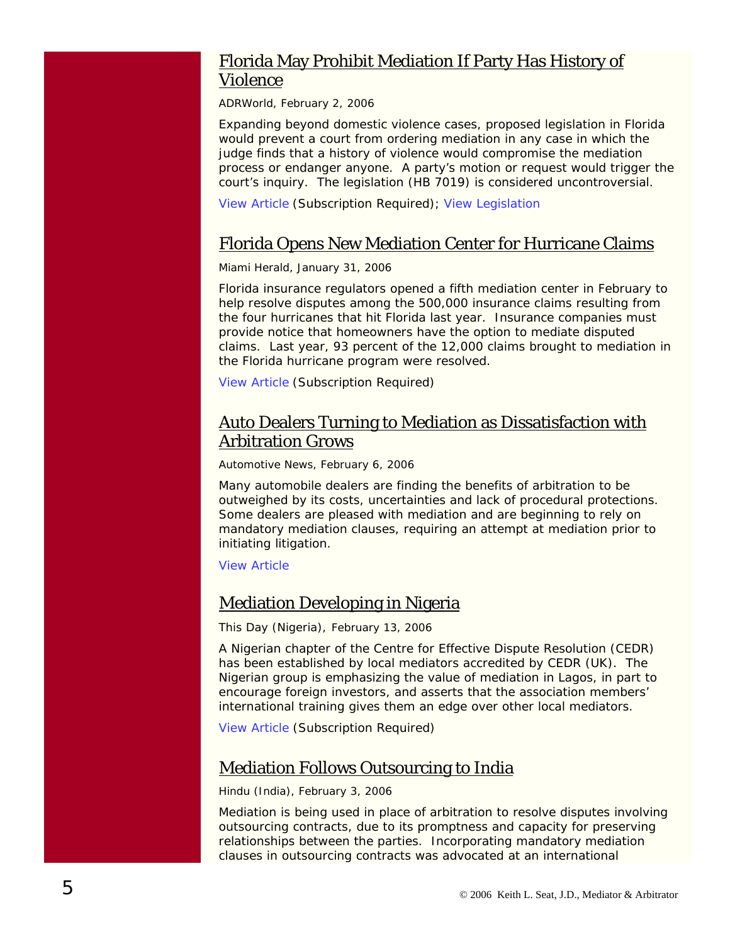### Florida May Prohibit Mediation If Party Has History of Violence

*ADRWorld*, February 2, 2006

Expanding beyond domestic violence cases, proposed legislation in Florida would prevent a court from ordering mediation in any case in which the judge finds that a history of violence would compromise the mediation process or endanger anyone. A party's motion or request would trigger the court's inquiry. The legislation (HB 7019) is considered uncontroversial.

[View Article](http://www.adrworld.com/sp.asp?id=39441) (Subscription Required); [View Legislation](http://www.myfloridahouse.gov/Sections/Bills/billsdetail.aspx?BillId=32758&)

#### Florida Opens New Mediation Center for Hurricane Claims

*Miami Herald*, January 31, 2006

Florida insurance regulators opened a fifth mediation center in February to help resolve disputes among the 500,000 insurance claims resulting from the four hurricanes that hit Florida last year. Insurance companies must provide notice that homeowners have the option to mediate disputed claims. Last year, 93 percent of the 12,000 claims brought to mediation in the Florida hurricane program were resolved.

[View Article](http://web2.westlaw.com/find/default.wl?rs=WLW6.01&findjuris=00001&cite=2006+WLNR+1666100&fn=_top&mt=LawSchoolPractitioner&vr=2.0&sv=Split&rp=%2ffind%2fdefault.wl) (Subscription Required)

### Auto Dealers Turning to Mediation as Dissatisfaction with Arbitration Grows

*Automotive News*, February 6, 2006

Many automobile dealers are finding the benefits of arbitration to be outweighed by its costs, uncertainties and lack of procedural protections. Some dealers are pleased with mediation and are beginning to rely on mandatory mediation clauses, requiring an attempt at mediation prior to initiating litigation.

[View Article](http://www.autonews.com/apps/pbcs.dll/article?AID=/20060206/SUB/60131022&SearchID=73237367756127)

#### Mediation Developing in Nigeria

*This Day (Nigeria)*, February 13, 2006

A Nigerian chapter of the Centre for Effective Dispute Resolution (CEDR) has been established by local mediators accredited by CEDR (UK). The Nigerian group is emphasizing the value of mediation in Lagos, in part to encourage foreign investors, and asserts that the association members' international training gives them an edge over other local mediators.

[View Article](http://web2.westlaw.com/Find/default.wl?findcite=2006+WLNR+2575377&TF=%7B27AE66B7-4EEF-11D5-A99D-000102463493%7D&RS=WLW6.02&VR=2.0&SV=Split&FN=_top&MT=LawSchoolPractitioner&RP=%2FWelcome%2FLawSchoolPractitioner%2Fdefault.wl&TC=%7B7340A334-4EEC-11D) (Subscription Required)

### Mediation Follows Outsourcing to India

*Hindu (India)*, February 3, 2006

Mediation is being used in place of arbitration to resolve disputes involving outsourcing contracts, due to its promptness and capacity for preserving relationships between the parties. Incorporating mandatory mediation clauses in outsourcing contracts was advocated at an international